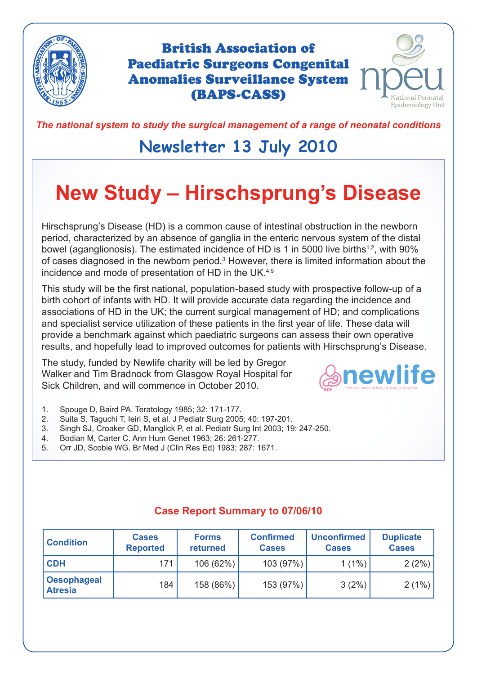

British Association of Paediatric Surgeons Congenital Anomalies Surveillance System (BAPS-CASS)



*The national system to study the surgical management of a range of neonatal conditions*

# **Newsletter 13 July 2010**

# **New Study – Hirschsprung's Disease**

Hirschsprung's Disease (HD) is a common cause of intestinal obstruction in the newborn period, characterized by an absence of ganglia in the enteric nervous system of the distal bowel (aganglionosis). The estimated incidence of HD is 1 in 5000 live births<sup>1,2</sup>, with 90% of cases diagnosed in the newborn period.<sup>3</sup> However, there is limited information about the incidence and mode of presentation of HD in the UK.4,5

This study will be the first national, population-based study with prospective follow-up of a birth cohort of infants with HD. It will provide accurate data regarding the incidence and associations of HD in the UK; the current surgical management of HD; and complications and specialist service utilization of these patients in the first year of life. These data will provide a benchmark against which paediatric surgeons can assess their own operative results, and hopefully lead to improved outcomes for patients with Hirschsprung's Disease.

The study, funded by Newlife charity will be led by Gregor Walker and Tim Bradnock from Glasgow Royal Hospital for Sick Children, and will commence in October 2010.



- 1. Spouge D, Baird PA. Teratology 1985; 32: 171-177.
- 2. Suita S, Taguchi T, Ieiri S, et al. J Pediatr Surg 2005; 40: 197-201.
- 3. Singh SJ, Croaker GD, Manglick P, et al. Pediatr Surg Int 2003; 19: 247-250.
- 4. Bodian M, Carter C. Ann Hum Genet 1963; 26: 261-277.
- 5. Orr JD, Scobie WG. Br Med J (Clin Res Ed) 1983; 287: 1671.

| <b>Condition</b>                     | <b>Cases</b><br><b>Reported</b> | <b>Forms</b><br>returned | <b>Confirmed</b><br><b>Cases</b> | <b>Unconfirmed</b><br><b>Cases</b> | <b>Duplicate</b><br><b>Cases</b> |
|--------------------------------------|---------------------------------|--------------------------|----------------------------------|------------------------------------|----------------------------------|
| <b>CDH</b>                           | 171                             | 106 (62%)                | 103(97%)                         | $1(1\%)$                           | 2(2%)                            |
| <b>Oesophageal</b><br><b>Atresia</b> | 184                             | 158 (86%)                | 153(97%)                         | 3(2%)                              | 2(1%)                            |

#### **Case Report Summary to 07/06/10**